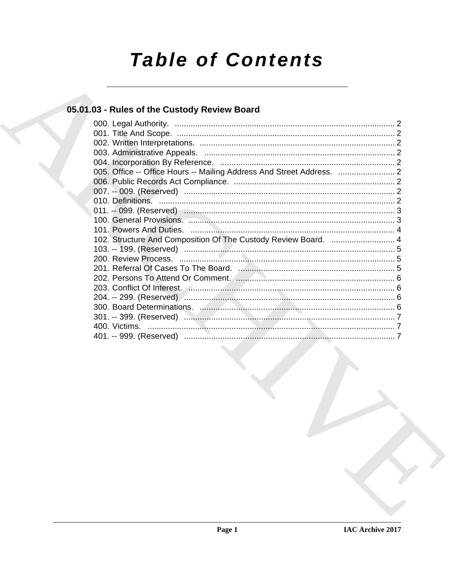# **Table of Contents**

### 05.01.03 - Rules of the Custody Review Board

| 005. Office -- Office Hours -- Mailing Address And Street Address. |  |
|--------------------------------------------------------------------|--|
|                                                                    |  |
|                                                                    |  |
|                                                                    |  |
|                                                                    |  |
|                                                                    |  |
|                                                                    |  |
| 102. Structure And Composition Of The Custody Review Board.  4     |  |
|                                                                    |  |
|                                                                    |  |
|                                                                    |  |
|                                                                    |  |
|                                                                    |  |
|                                                                    |  |
|                                                                    |  |
|                                                                    |  |
|                                                                    |  |
|                                                                    |  |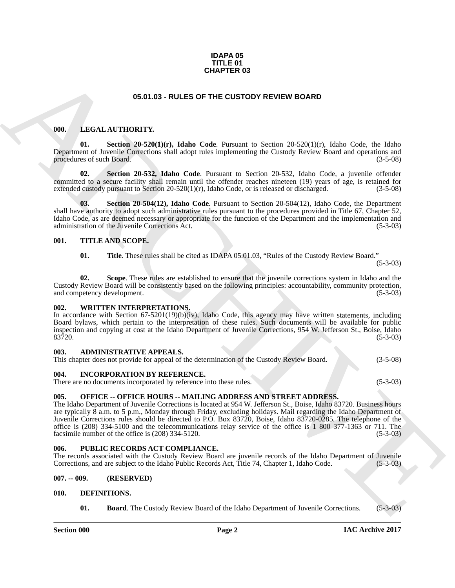#### **IDAPA 05 TITLE 01 CHAPTER 03**

#### **05.01.03 - RULES OF THE CUSTODY REVIEW BOARD**

#### <span id="page-1-14"></span><span id="page-1-1"></span><span id="page-1-0"></span>**000. LEGAL AUTHORITY.**

**Section 20-520(1)(r), Idaho Code**. Pursuant to Section 20-520(1)(r), Idaho Code, the Idaho Department of Juvenile Corrections shall adopt rules implementing the Custody Review Board and operations and procedures of such Board.

**02. Section 20-532, Idaho Code**. Pursuant to Section 20-532, Idaho Code, a juvenile offender committed to a secure facility shall remain until the offender reaches nineteen (19) years of age, is retained for extended custody pursuant to Section 20-520(1)(r), Idaho Code, or is released or discharged.  $(3-5-08)$ extended custody pursuant to Section 20-520(1)(r), Idaho Code, or is released or discharged.

**03. Section 20-504(12), Idaho Code**. Pursuant to Section 20-504(12), Idaho Code, the Department shall have authority to adopt such administrative rules pursuant to the procedures provided in Title 67, Chapter 52, Idaho Code, as are deemed necessary or appropriate for the function of the Department and the implementation and administration of the Juvenile Corrections Act.

#### <span id="page-1-2"></span>**001. TITLE AND SCOPE.**

<span id="page-1-17"></span>**01. Title**. These rules shall be cited as IDAPA 05.01.03, "Rules of the Custody Review Board."

(5-3-03)

**02. Scope**. These rules are established to ensure that the juvenile corrections system in Idaho and the Custody Review Board will be consistently based on the following principles: accountability, community protection, and competency development.

#### <span id="page-1-18"></span><span id="page-1-3"></span>**002. WRITTEN INTERPRETATIONS.**

In accordance with Section 67-5201(19)(b)(iv), Idaho Code, this agency may have written statements, including Board bylaws, which pertain to the interpretation of these rules. Such documents will be available for public inspection and copying at cost at the Idaho Department of Juvenile Corrections, 954 W. Jefferson St., Boise, Idaho  $83\overline{7}20.$  (5-3-03)

#### <span id="page-1-10"></span><span id="page-1-4"></span>**003. ADMINISTRATIVE APPEALS.**

This chapter does not provide for appeal of the determination of the Custody Review Board. (3-5-08)

#### <span id="page-1-13"></span><span id="page-1-5"></span>**004. INCORPORATION BY REFERENCE.**

There are no documents incorporated by reference into these rules. (5-3-03)

#### <span id="page-1-15"></span><span id="page-1-6"></span>**005. OFFICE -- OFFICE HOURS -- MAILING ADDRESS AND STREET ADDRESS.**

**CHAPTER 03**<br> **CHAPTER 03**<br> **CHARCHIVE SORRO**<br> **CHARCHIVE SORRO**<br> **CHARCHIPS CONSULTS**<br> **CHARCHIPS CONSULTS**<br> **CHARCHIPS CONSULTS**<br> **CHARCHIPS CONSULTS**<br> **CHARCHIPS CONSULTS**<br> **CONSULTS**<br> **CONSULTS**<br> **CONSULTS**<br> **CONSULTS** The Idaho Department of Juvenile Corrections is located at 954 W. Jefferson St., Boise, Idaho 83720. Business hours are typically 8 a.m. to 5 p.m., Monday through Friday, excluding holidays. Mail regarding the Idaho Department of Juvenile Corrections rules should be directed to P.O. Box 83720, Boise, Idaho 83720-0285. The telephone of the office is (208) 334-5100 and the telecommunications relay service of the office is 1 800 377-1363 or 711. The facsimile number of the office is (208) 334-5120. (5-3-03)

#### <span id="page-1-16"></span><span id="page-1-7"></span>**006. PUBLIC RECORDS ACT COMPLIANCE.**

The records associated with the Custody Review Board are juvenile records of the Idaho Department of Juvenile Corrections, and are subject to the Idaho Public Records Act, Title 74, Chapter 1, Idaho Code. (5-3-03)

#### <span id="page-1-8"></span>**007. -- 009. (RESERVED)**

#### <span id="page-1-9"></span>**010. DEFINITIONS.**

<span id="page-1-12"></span><span id="page-1-11"></span>**01. Board**. The Custody Review Board of the Idaho Department of Juvenile Corrections. (5-3-03)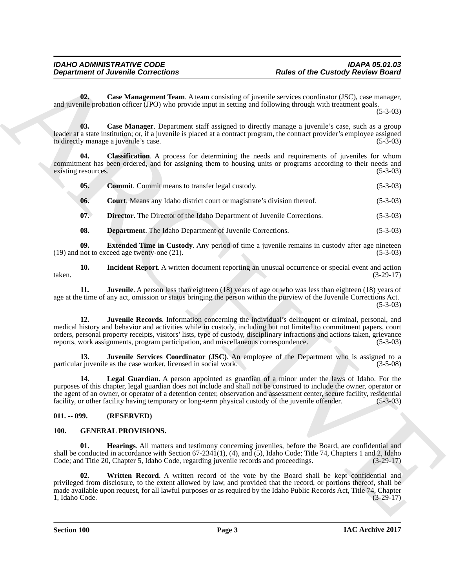<span id="page-2-8"></span><span id="page-2-7"></span><span id="page-2-6"></span><span id="page-2-5"></span><span id="page-2-4"></span><span id="page-2-3"></span><span id="page-2-2"></span>

| 02.<br>Case Management Team. A team consisting of juvenile services coordinator (JSC), case manager,<br>and juvenile probation officer (JPO) who provide input in setting and following through with treatment goals.<br>Case Manager. Department staff assigned to directly manage a juvenile's case, such as a group<br>03.<br>leader at a state institution; or, if a juvenile is placed at a contract program, the contract provider's employee assigned<br>to directly manage a juvenile's case.<br>Classification. A process for determining the needs and requirements of juveniles for whom<br>04.<br>commitment has been ordered, and for assigning them to housing units or programs according to their needs and<br>existing resources.<br>05.<br><b>Commit.</b> Commit means to transfer legal custody.<br><b>Court.</b> Means any Idaho district court or magistrate's division thereof.<br>06.<br>07.<br><b>Director.</b> The Director of the Idaho Department of Juvenile Corrections.<br>08.<br><b>Department</b> . The Idaho Department of Juvenile Corrections.<br>09.<br><b>Extended Time in Custody.</b> Any period of time a juvenile remains in custody after age nineteen<br>(19) and not to exceed age twenty-one (21).<br>Incident Report. A written document reporting an unusual occurrence or special event and action<br>10.<br>taken.<br>11.<br>Juvenile. A person less than eighteen (18) years of age or who was less than eighteen (18) years of<br>age at the time of any act, omission or status bringing the person within the purview of the Juvenile Corrections Act.<br>12.<br>Juvenile Records. Information concerning the individual's delinquent or criminal, personal, and<br>medical history and behavior and activities while in custody, including but not limited to commitment papers, court<br>orders, personal property receipts, visitors' lists, type of custody, disciplinary infractions and actions taken, grievance<br>reports, work assignments, program participation, and miscellaneous correspondence.<br>13.<br><b>Juvenile Services Coordinator (JSC)</b> . An employee of the Department who is assigned to a<br>particular juvenile as the case worker, licensed in social work.<br>Legal Guardian. A person appointed as guardian of a minor under the laws of Idaho. For the<br>14.<br>purposes of this chapter, legal guardian does not include and shall not be construed to include the owner, operator or<br>the agent of an owner, or operator of a detention center, observation and assessment center, secure facility, residential<br>facility, or other facility having temporary or long-term physical custody of the juvenile offender.<br>$011. - 099.$<br>(RESERVED)<br>100.<br><b>GENERAL PROVISIONS.</b><br>01.<br><b>Hearings.</b> All matters and testimony concerning juveniles, before the Board, are confidential and<br>shall be conducted in accordance with Section $67-2341(1)$ , $(4)$ , and $(5)$ , Idaho Code; Title 74, Chapters 1 and 2, Idaho<br>Code; and Title 20, Chapter 5, Idaho Code, regarding juvenile records and proceedings.<br>02.<br>Written Record. A written record of the vote by the Board shall be kept confidential and<br>privileged from disclosure, to the extent allowed by law, and provided that the record, or portions thereof, shall be<br>made available upon request, for all lawful purposes or as required by the Idaho Public Records Act, Title 74, Chapter<br>1, Idaho Code. | <b>Department of Juvenile Corrections</b> |  | <b>Rules of the Custody Review Board</b> |
|-----------------------------------------------------------------------------------------------------------------------------------------------------------------------------------------------------------------------------------------------------------------------------------------------------------------------------------------------------------------------------------------------------------------------------------------------------------------------------------------------------------------------------------------------------------------------------------------------------------------------------------------------------------------------------------------------------------------------------------------------------------------------------------------------------------------------------------------------------------------------------------------------------------------------------------------------------------------------------------------------------------------------------------------------------------------------------------------------------------------------------------------------------------------------------------------------------------------------------------------------------------------------------------------------------------------------------------------------------------------------------------------------------------------------------------------------------------------------------------------------------------------------------------------------------------------------------------------------------------------------------------------------------------------------------------------------------------------------------------------------------------------------------------------------------------------------------------------------------------------------------------------------------------------------------------------------------------------------------------------------------------------------------------------------------------------------------------------------------------------------------------------------------------------------------------------------------------------------------------------------------------------------------------------------------------------------------------------------------------------------------------------------------------------------------------------------------------------------------------------------------------------------------------------------------------------------------------------------------------------------------------------------------------------------------------------------------------------------------------------------------------------------------------------------------------------------------------------------------------------------------------------------------------------------------------------------------------------------------------------------------------------------------------------------------------------------------------------------------------------------------------------------------------------------------------------------------------------------------------------------------------------------------------------------------------------------------------------------------------------------------------------------------------------------------------------------------------------------------------------------------------------|-------------------------------------------|--|------------------------------------------|
|                                                                                                                                                                                                                                                                                                                                                                                                                                                                                                                                                                                                                                                                                                                                                                                                                                                                                                                                                                                                                                                                                                                                                                                                                                                                                                                                                                                                                                                                                                                                                                                                                                                                                                                                                                                                                                                                                                                                                                                                                                                                                                                                                                                                                                                                                                                                                                                                                                                                                                                                                                                                                                                                                                                                                                                                                                                                                                                                                                                                                                                                                                                                                                                                                                                                                                                                                                                                                                                                                                                 |                                           |  | $(5-3-03)$                               |
|                                                                                                                                                                                                                                                                                                                                                                                                                                                                                                                                                                                                                                                                                                                                                                                                                                                                                                                                                                                                                                                                                                                                                                                                                                                                                                                                                                                                                                                                                                                                                                                                                                                                                                                                                                                                                                                                                                                                                                                                                                                                                                                                                                                                                                                                                                                                                                                                                                                                                                                                                                                                                                                                                                                                                                                                                                                                                                                                                                                                                                                                                                                                                                                                                                                                                                                                                                                                                                                                                                                 |                                           |  | $(5-3-03)$                               |
|                                                                                                                                                                                                                                                                                                                                                                                                                                                                                                                                                                                                                                                                                                                                                                                                                                                                                                                                                                                                                                                                                                                                                                                                                                                                                                                                                                                                                                                                                                                                                                                                                                                                                                                                                                                                                                                                                                                                                                                                                                                                                                                                                                                                                                                                                                                                                                                                                                                                                                                                                                                                                                                                                                                                                                                                                                                                                                                                                                                                                                                                                                                                                                                                                                                                                                                                                                                                                                                                                                                 |                                           |  | $(5-3-03)$                               |
|                                                                                                                                                                                                                                                                                                                                                                                                                                                                                                                                                                                                                                                                                                                                                                                                                                                                                                                                                                                                                                                                                                                                                                                                                                                                                                                                                                                                                                                                                                                                                                                                                                                                                                                                                                                                                                                                                                                                                                                                                                                                                                                                                                                                                                                                                                                                                                                                                                                                                                                                                                                                                                                                                                                                                                                                                                                                                                                                                                                                                                                                                                                                                                                                                                                                                                                                                                                                                                                                                                                 |                                           |  | $(5-3-03)$                               |
|                                                                                                                                                                                                                                                                                                                                                                                                                                                                                                                                                                                                                                                                                                                                                                                                                                                                                                                                                                                                                                                                                                                                                                                                                                                                                                                                                                                                                                                                                                                                                                                                                                                                                                                                                                                                                                                                                                                                                                                                                                                                                                                                                                                                                                                                                                                                                                                                                                                                                                                                                                                                                                                                                                                                                                                                                                                                                                                                                                                                                                                                                                                                                                                                                                                                                                                                                                                                                                                                                                                 |                                           |  | $(5-3-03)$                               |
|                                                                                                                                                                                                                                                                                                                                                                                                                                                                                                                                                                                                                                                                                                                                                                                                                                                                                                                                                                                                                                                                                                                                                                                                                                                                                                                                                                                                                                                                                                                                                                                                                                                                                                                                                                                                                                                                                                                                                                                                                                                                                                                                                                                                                                                                                                                                                                                                                                                                                                                                                                                                                                                                                                                                                                                                                                                                                                                                                                                                                                                                                                                                                                                                                                                                                                                                                                                                                                                                                                                 |                                           |  | $(5-3-03)$                               |
|                                                                                                                                                                                                                                                                                                                                                                                                                                                                                                                                                                                                                                                                                                                                                                                                                                                                                                                                                                                                                                                                                                                                                                                                                                                                                                                                                                                                                                                                                                                                                                                                                                                                                                                                                                                                                                                                                                                                                                                                                                                                                                                                                                                                                                                                                                                                                                                                                                                                                                                                                                                                                                                                                                                                                                                                                                                                                                                                                                                                                                                                                                                                                                                                                                                                                                                                                                                                                                                                                                                 |                                           |  | $(5-3-03)$                               |
|                                                                                                                                                                                                                                                                                                                                                                                                                                                                                                                                                                                                                                                                                                                                                                                                                                                                                                                                                                                                                                                                                                                                                                                                                                                                                                                                                                                                                                                                                                                                                                                                                                                                                                                                                                                                                                                                                                                                                                                                                                                                                                                                                                                                                                                                                                                                                                                                                                                                                                                                                                                                                                                                                                                                                                                                                                                                                                                                                                                                                                                                                                                                                                                                                                                                                                                                                                                                                                                                                                                 |                                           |  | $(5-3-03)$                               |
|                                                                                                                                                                                                                                                                                                                                                                                                                                                                                                                                                                                                                                                                                                                                                                                                                                                                                                                                                                                                                                                                                                                                                                                                                                                                                                                                                                                                                                                                                                                                                                                                                                                                                                                                                                                                                                                                                                                                                                                                                                                                                                                                                                                                                                                                                                                                                                                                                                                                                                                                                                                                                                                                                                                                                                                                                                                                                                                                                                                                                                                                                                                                                                                                                                                                                                                                                                                                                                                                                                                 |                                           |  | $(3-29-17)$                              |
|                                                                                                                                                                                                                                                                                                                                                                                                                                                                                                                                                                                                                                                                                                                                                                                                                                                                                                                                                                                                                                                                                                                                                                                                                                                                                                                                                                                                                                                                                                                                                                                                                                                                                                                                                                                                                                                                                                                                                                                                                                                                                                                                                                                                                                                                                                                                                                                                                                                                                                                                                                                                                                                                                                                                                                                                                                                                                                                                                                                                                                                                                                                                                                                                                                                                                                                                                                                                                                                                                                                 |                                           |  | $(5-3-03)$                               |
|                                                                                                                                                                                                                                                                                                                                                                                                                                                                                                                                                                                                                                                                                                                                                                                                                                                                                                                                                                                                                                                                                                                                                                                                                                                                                                                                                                                                                                                                                                                                                                                                                                                                                                                                                                                                                                                                                                                                                                                                                                                                                                                                                                                                                                                                                                                                                                                                                                                                                                                                                                                                                                                                                                                                                                                                                                                                                                                                                                                                                                                                                                                                                                                                                                                                                                                                                                                                                                                                                                                 |                                           |  | $(5-3-03)$                               |
|                                                                                                                                                                                                                                                                                                                                                                                                                                                                                                                                                                                                                                                                                                                                                                                                                                                                                                                                                                                                                                                                                                                                                                                                                                                                                                                                                                                                                                                                                                                                                                                                                                                                                                                                                                                                                                                                                                                                                                                                                                                                                                                                                                                                                                                                                                                                                                                                                                                                                                                                                                                                                                                                                                                                                                                                                                                                                                                                                                                                                                                                                                                                                                                                                                                                                                                                                                                                                                                                                                                 |                                           |  | $(3-5-08)$                               |
|                                                                                                                                                                                                                                                                                                                                                                                                                                                                                                                                                                                                                                                                                                                                                                                                                                                                                                                                                                                                                                                                                                                                                                                                                                                                                                                                                                                                                                                                                                                                                                                                                                                                                                                                                                                                                                                                                                                                                                                                                                                                                                                                                                                                                                                                                                                                                                                                                                                                                                                                                                                                                                                                                                                                                                                                                                                                                                                                                                                                                                                                                                                                                                                                                                                                                                                                                                                                                                                                                                                 |                                           |  | $(5-3-03)$                               |
|                                                                                                                                                                                                                                                                                                                                                                                                                                                                                                                                                                                                                                                                                                                                                                                                                                                                                                                                                                                                                                                                                                                                                                                                                                                                                                                                                                                                                                                                                                                                                                                                                                                                                                                                                                                                                                                                                                                                                                                                                                                                                                                                                                                                                                                                                                                                                                                                                                                                                                                                                                                                                                                                                                                                                                                                                                                                                                                                                                                                                                                                                                                                                                                                                                                                                                                                                                                                                                                                                                                 |                                           |  |                                          |
|                                                                                                                                                                                                                                                                                                                                                                                                                                                                                                                                                                                                                                                                                                                                                                                                                                                                                                                                                                                                                                                                                                                                                                                                                                                                                                                                                                                                                                                                                                                                                                                                                                                                                                                                                                                                                                                                                                                                                                                                                                                                                                                                                                                                                                                                                                                                                                                                                                                                                                                                                                                                                                                                                                                                                                                                                                                                                                                                                                                                                                                                                                                                                                                                                                                                                                                                                                                                                                                                                                                 |                                           |  |                                          |
|                                                                                                                                                                                                                                                                                                                                                                                                                                                                                                                                                                                                                                                                                                                                                                                                                                                                                                                                                                                                                                                                                                                                                                                                                                                                                                                                                                                                                                                                                                                                                                                                                                                                                                                                                                                                                                                                                                                                                                                                                                                                                                                                                                                                                                                                                                                                                                                                                                                                                                                                                                                                                                                                                                                                                                                                                                                                                                                                                                                                                                                                                                                                                                                                                                                                                                                                                                                                                                                                                                                 |                                           |  | $(3-29-17)$                              |
|                                                                                                                                                                                                                                                                                                                                                                                                                                                                                                                                                                                                                                                                                                                                                                                                                                                                                                                                                                                                                                                                                                                                                                                                                                                                                                                                                                                                                                                                                                                                                                                                                                                                                                                                                                                                                                                                                                                                                                                                                                                                                                                                                                                                                                                                                                                                                                                                                                                                                                                                                                                                                                                                                                                                                                                                                                                                                                                                                                                                                                                                                                                                                                                                                                                                                                                                                                                                                                                                                                                 |                                           |  | $(3-29-17)$                              |
|                                                                                                                                                                                                                                                                                                                                                                                                                                                                                                                                                                                                                                                                                                                                                                                                                                                                                                                                                                                                                                                                                                                                                                                                                                                                                                                                                                                                                                                                                                                                                                                                                                                                                                                                                                                                                                                                                                                                                                                                                                                                                                                                                                                                                                                                                                                                                                                                                                                                                                                                                                                                                                                                                                                                                                                                                                                                                                                                                                                                                                                                                                                                                                                                                                                                                                                                                                                                                                                                                                                 |                                           |  |                                          |

#### <span id="page-2-14"></span><span id="page-2-13"></span><span id="page-2-12"></span><span id="page-2-11"></span><span id="page-2-10"></span><span id="page-2-9"></span><span id="page-2-0"></span>**011. -- 099. (RESERVED)**

#### <span id="page-2-17"></span><span id="page-2-16"></span><span id="page-2-15"></span><span id="page-2-1"></span>**100. GENERAL PROVISIONS.**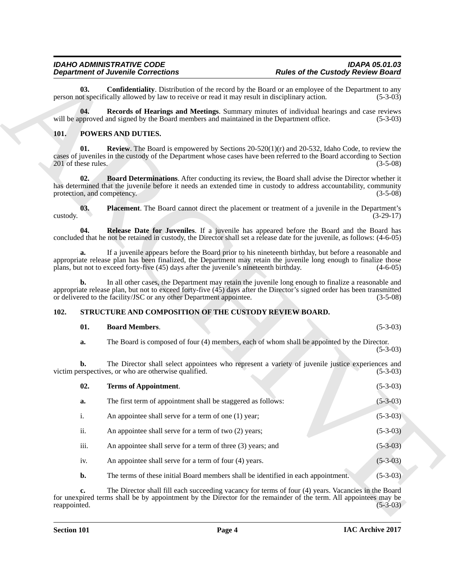#### <span id="page-3-2"></span>*IDAHO ADMINISTRATIVE CODE IDAPA 05.01.03 Department of Juvenile Corrections*

#### <span id="page-3-8"></span><span id="page-3-7"></span><span id="page-3-5"></span><span id="page-3-4"></span><span id="page-3-3"></span><span id="page-3-0"></span>**101. POWERS AND DUTIES.**

#### <span id="page-3-6"></span><span id="page-3-1"></span>**102. STRUCTURE AND COMPOSITION OF THE CUSTODY REVIEW BOARD.**

#### <span id="page-3-11"></span><span id="page-3-10"></span><span id="page-3-9"></span>**01. Board Members**. (5-3-03)

| <b>Department of Juvenile Corrections</b> |                                                                                                                                                                                                                                                                                                                      | <b>Rules of the Custody Review Board</b>                                                                         |             |  |
|-------------------------------------------|----------------------------------------------------------------------------------------------------------------------------------------------------------------------------------------------------------------------------------------------------------------------------------------------------------------------|------------------------------------------------------------------------------------------------------------------|-------------|--|
| 03.                                       | <b>Confidentiality</b> . Distribution of the record by the Board or an employee of the Department to any<br>person not specifically allowed by law to receive or read it may result in disciplinary action.                                                                                                          |                                                                                                                  | $(5-3-03)$  |  |
| 04.                                       | Records of Hearings and Meetings. Summary minutes of individual hearings and case reviews<br>will be approved and signed by the Board members and maintained in the Department office.                                                                                                                               |                                                                                                                  | $(5-3-03)$  |  |
| 101.                                      | POWERS AND DUTIES.                                                                                                                                                                                                                                                                                                   |                                                                                                                  |             |  |
| 01.<br>201 of these rules.                | <b>Review.</b> The Board is empowered by Sections $20-520(1)(r)$ and $20-532$ , Idaho Code, to review the<br>cases of juveniles in the custody of the Department whose cases have been referred to the Board according to Section                                                                                    |                                                                                                                  | $(3-5-08)$  |  |
| 02.<br>protection, and competency.        | <b>Board Determinations.</b> After conducting its review, the Board shall advise the Director whether it<br>has determined that the juvenile before it needs an extended time in custody to address accountability, community                                                                                        |                                                                                                                  | $(3-5-08)$  |  |
| 03.<br>custody.                           | Placement. The Board cannot direct the placement or treatment of a juvenile in the Department's                                                                                                                                                                                                                      |                                                                                                                  | $(3-29-17)$ |  |
| 04.                                       | Release Date for Juveniles. If a juvenile has appeared before the Board and the Board has<br>concluded that he not be retained in custody, the Director shall set a release date for the juvenile, as follows: (4-6-05)                                                                                              |                                                                                                                  |             |  |
| a.                                        | If a juvenile appears before the Board prior to his nineteenth birthday, but before a reasonable and<br>appropriate release plan has been finalized, the Department may retain the juvenile long enough to finalize those<br>plans, but not to exceed forty-five (45) days after the juvenile's nineteenth birthday. |                                                                                                                  | $(4-6-05)$  |  |
| b.                                        | In all other cases, the Department may retain the juvenile long enough to finalize a reasonable and<br>appropriate release plan, but not to exceed forty-five (45) days after the Director's signed order has been transmitted<br>or delivered to the facility/JSC or any other Department appointee.                |                                                                                                                  | $(3-5-08)$  |  |
| 102.                                      | STRUCTURE AND COMPOSITION OF THE CUSTODY REVIEW BOARD.                                                                                                                                                                                                                                                               |                                                                                                                  |             |  |
| 01.                                       | <b>Board Members.</b>                                                                                                                                                                                                                                                                                                |                                                                                                                  | $(5-3-03)$  |  |
| a.                                        | The Board is composed of four (4) members, each of whom shall be appointed by the Director.                                                                                                                                                                                                                          |                                                                                                                  | $(5-3-03)$  |  |
| b.                                        | The Director shall select appointees who represent a variety of juvenile justice experiences and<br>victim perspectives, or who are otherwise qualified.                                                                                                                                                             |                                                                                                                  | $(5-3-03)$  |  |
| 02.                                       | <b>Terms of Appointment.</b>                                                                                                                                                                                                                                                                                         |                                                                                                                  | $(5-3-03)$  |  |
| a.                                        | The first term of appointment shall be staggered as follows:                                                                                                                                                                                                                                                         |                                                                                                                  | $(5-3-03)$  |  |
| i.                                        | An appointee shall serve for a term of one (1) year;                                                                                                                                                                                                                                                                 |                                                                                                                  | $(5-3-03)$  |  |
| ii.                                       | An appointee shall serve for a term of two (2) years;                                                                                                                                                                                                                                                                |                                                                                                                  | $(5-3-03)$  |  |
| iii.                                      | An appointee shall serve for a term of three (3) years; and                                                                                                                                                                                                                                                          |                                                                                                                  | $(5-3-03)$  |  |
| iv.                                       | An appointee shall serve for a term of four (4) years.                                                                                                                                                                                                                                                               |                                                                                                                  | $(5-3-03)$  |  |
| b.                                        | The terms of these initial Board members shall be identified in each appointment.                                                                                                                                                                                                                                    |                                                                                                                  | $(5-3-03)$  |  |
| c.                                        | The Director shall fill each succeeding vacancy for terms of four (4) years. Vacancies in the Board                                                                                                                                                                                                                  | for unexpired terms shall be by appointment by the Director for the remainder of the term. All appointees may be |             |  |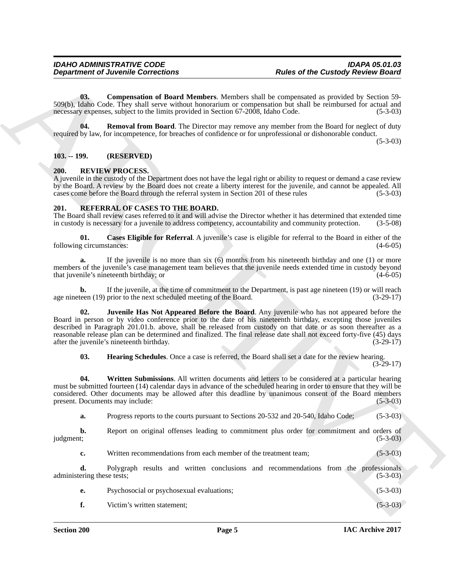<span id="page-4-9"></span>**03. Compensation of Board Members**. Members shall be compensated as provided by Section 59- 509(b), Idaho Code. They shall serve without honorarium or compensation but shall be reimbursed for actual and necessary expenses, subject to the limits provided in Section 67-2008, Idaho Code. (5-3-03)

<span id="page-4-10"></span>**04. Removal from Board**. The Director may remove any member from the Board for neglect of duty required by law, for incompetence, for breaches of confidence or for unprofessional or dishonorable conduct.

(5-3-03)

#### <span id="page-4-0"></span>**103. -- 199. (RESERVED)**

#### <span id="page-4-8"></span><span id="page-4-1"></span>**200. REVIEW PROCESS.**

A juvenile in the custody of the Department does not have the legal right or ability to request or demand a case review by the Board. A review by the Board does not create a liberty interest for the juvenile, and cannot be appealed. All cases come before the Board through the referral system in Section 201 of these rules (5-3-03)

#### <span id="page-4-3"></span><span id="page-4-2"></span>**201. REFERRAL OF CASES TO THE BOARD.**

The Board shall review cases referred to it and will advise the Director whether it has determined that extended time in custody is necessary for a juvenile to address competency, accountability and community protection. (3-5-08)

<span id="page-4-4"></span>**01. Cases Eligible for Referral**. A juvenile's case is eligible for referral to the Board in either of the g circumstances: (4-6-05) following circumstances:

**a.** If the juvenile is no more than six (6) months from his nineteenth birthday and one (1) or more members of the juvenile's case management team believes that the juvenile needs extended time in custody beyond<br>that iuvenile's nineteenth birthday: or (4-6-05) that juvenile's nineteenth birthday; or

<span id="page-4-6"></span>**b.** If the juvenile, at the time of commitment to the Department, is past age nineteen (19) or will reach (19) prior to the next scheduled meeting of the Board. (3-29-17) age nineteen  $(19)$  prior to the next scheduled meeting of the Board.

**Department of Juvenile Connections**<br> **Alter of the Castedry Recipres above**<br> **ARCHIVE CONFIDENTIAL CONFIDENTIAL CONFIDENCIAL CONFIDENCIAL CONFIDENCIAL CONFIDENTIAL CONFIDENTIAL CONFIDENTIAL CONFIDENTIAL CONFIDENTIAL CONF Juvenile Has Not Appeared Before the Board**. Any juvenile who has not appeared before the Board in person or by video conference prior to the date of his nineteenth birthday, excepting those juveniles described in Paragraph 201.01.b. above, shall be released from custody on that date or as soon thereafter as a reasonable release plan can be determined and finalized. The final release date shall not exceed forty-five (45) days after the juvenile's nineteenth birthday. (3-29-17) after the juvenile's nineteenth birthday.

<span id="page-4-7"></span><span id="page-4-5"></span>**03. Hearing Schedules**. Once a case is referred, the Board shall set a date for the review hearing.  $(3-29-17)$ 

**04. Written Submissions**. All written documents and letters to be considered at a particular hearing must be submitted fourteen (14) calendar days in advance of the scheduled hearing in order to ensure that they will be considered. Other documents may be allowed after this deadline by unanimous consent of the Board members present. Documents may include: (5-3-03)

**a.** Progress reports to the courts pursuant to Sections 20-532 and 20-540, Idaho Code; (5-3-03)

**b.** Report on original offenses leading to commitment plus order for commitment and orders of judgment; (5-3-03)

**c.** Written recommendations from each member of the treatment team; (5-3-03)

**d.** Polygraph results and written conclusions and recommendations from the professionals ering these tests; (5-3-03) administering these tests;

| Psychosocial or psychosexual evaluations; | $(5-3-03)$ |
|-------------------------------------------|------------|
| Victim's written statement:               | $(5-3-03)$ |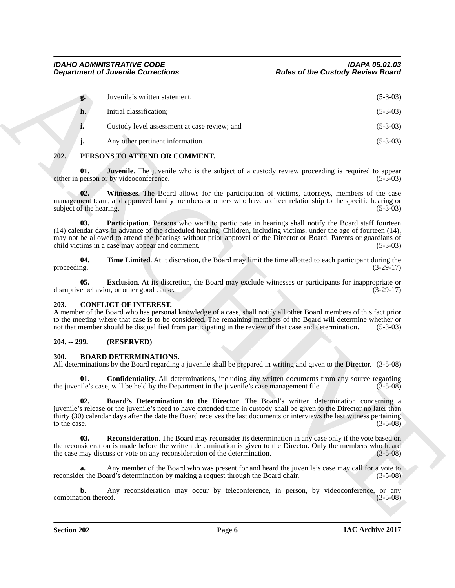|                                | <b>Department of Juvenile Corrections</b>                                                                                                                                                                                                                                                                                                                                          | <b>Rules of the Custody Review Board</b>                                                                                  |
|--------------------------------|------------------------------------------------------------------------------------------------------------------------------------------------------------------------------------------------------------------------------------------------------------------------------------------------------------------------------------------------------------------------------------|---------------------------------------------------------------------------------------------------------------------------|
| g.                             | Juvenile's written statement;                                                                                                                                                                                                                                                                                                                                                      | $(5-3-03)$                                                                                                                |
| h.                             | Initial classification;                                                                                                                                                                                                                                                                                                                                                            | $(5-3-03)$                                                                                                                |
| i.                             | Custody level assessment at case review; and                                                                                                                                                                                                                                                                                                                                       | $(5-3-03)$                                                                                                                |
| j.                             | Any other pertinent information.                                                                                                                                                                                                                                                                                                                                                   | $(5-3-03)$                                                                                                                |
| 202.                           | PERSONS TO ATTEND OR COMMENT.                                                                                                                                                                                                                                                                                                                                                      |                                                                                                                           |
| 01.                            | either in person or by videoconference.                                                                                                                                                                                                                                                                                                                                            | <b>Juvenile</b> . The juvenile who is the subject of a custody review proceeding is required to appear<br>$(5-3-03)$      |
| 02.<br>subject of the hearing. | management team, and approved family members or others who have a direct relationship to the specific hearing or                                                                                                                                                                                                                                                                   | Witnesses. The Board allows for the participation of victims, attorneys, members of the case<br>$(5-3-03)$                |
| 03.                            | (14) calendar days in advance of the scheduled hearing. Children, including victims, under the age of fourteen (14),<br>may not be allowed to attend the hearings without prior approval of the Director or Board. Parents or guardians of<br>child victims in a case may appear and comment.                                                                                      | Participation. Persons who want to participate in hearings shall notify the Board staff fourteen<br>$(5-3-03)$            |
| 04.<br>proceeding.             |                                                                                                                                                                                                                                                                                                                                                                                    | Time Limited. At it discretion, the Board may limit the time allotted to each participant during the<br>$(3-29-17)$       |
| 0 <sub>5</sub>                 | disruptive behavior, or other good cause.                                                                                                                                                                                                                                                                                                                                          | <b>Exclusion</b> . At its discretion, the Board may exclude witnesses or participants for inappropriate or<br>$(3-29-17)$ |
| 203.                           | <b>CONFLICT OF INTEREST.</b><br>A member of the Board who has personal knowledge of a case, shall notify all other Board members of this fact prior<br>to the meeting where that case is to be considered. The remaining members of the Board will determine whether or<br>not that member should be disqualified from participating in the review of that case and determination. | $(5-3-03)$                                                                                                                |
| $204. - 299.$                  | (RESERVED)                                                                                                                                                                                                                                                                                                                                                                         |                                                                                                                           |
| 300.                           | <b>BOARD DETERMINATIONS.</b><br>All determinations by the Board regarding a juvenile shall be prepared in writing and given to the Director. (3-5-08)                                                                                                                                                                                                                              |                                                                                                                           |
| 01.                            | the juvenile's case, will be held by the Department in the juvenile's case management file.                                                                                                                                                                                                                                                                                        | <b>Confidentiality.</b> All determinations, including any written documents from any source regarding<br>$(3-5-08)$       |
| 02.<br>to the case.            | juvenile's release or the juvenile's need to have extended time in custody shall be given to the Director no later than<br>thirty (30) calendar days after the date the Board receives the last documents or interviews the last witness pertaining                                                                                                                                | Board's Determination to the Director. The Board's written determination concerning a<br>$(3-5-08)$                       |
| 03.                            | the reconsideration is made before the written determination is given to the Director. Only the members who heard<br>the case may discuss or vote on any reconsideration of the determination.                                                                                                                                                                                     | <b>Reconsideration</b> . The Board may reconsider its determination in any case only if the vote based on<br>$(3-5-08)$   |
| a.                             | reconsider the Board's determination by making a request through the Board chair.                                                                                                                                                                                                                                                                                                  | Any member of the Board who was present for and heard the juvenile's case may call for a vote to<br>$(3-5-08)$            |
| b.<br>combination thereof.     |                                                                                                                                                                                                                                                                                                                                                                                    | Any reconsideration may occur by teleconference, in person, by videoconference, or any<br>$(3-5-08)$                      |
|                                |                                                                                                                                                                                                                                                                                                                                                                                    |                                                                                                                           |

#### <span id="page-5-13"></span><span id="page-5-11"></span><span id="page-5-10"></span><span id="page-5-9"></span><span id="page-5-0"></span>**202. PERSONS TO ATTEND OR COMMENT.**

#### <span id="page-5-14"></span><span id="page-5-12"></span><span id="page-5-8"></span><span id="page-5-1"></span>**203. CONFLICT OF INTEREST.**

#### <span id="page-5-2"></span>**204. -- 299. (RESERVED)**

#### <span id="page-5-7"></span><span id="page-5-6"></span><span id="page-5-5"></span><span id="page-5-4"></span><span id="page-5-3"></span>**300. BOARD DETERMINATIONS.**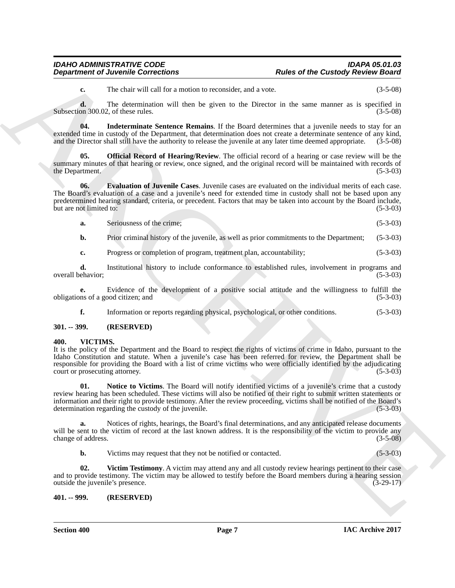### *IDAHO ADMINISTRATIVE CODE IDAPA 05.01.03*

### *Department of Juvenile Corrections Rules of the Custody Review Board*

<span id="page-6-4"></span>**c.** The chair will call for a motion to reconsider, and a vote. (3-5-08)

**d.** The determination will then be given to the Director in the same manner as is specified in Subsection 300.02, of these rules. (3-5-08)

**04. Indeterminate Sentence Remains**. If the Board determines that a juvenile needs to stay for an extended time in custody of the Department, that determination does not create a determinate sentence of any kind, and the Director shall still have the authority to release the juvenile at any later time deemed appropriate. (3-5-08)

<span id="page-6-5"></span>**05. Official Record of Hearing/Review**. The official record of a hearing or case review will be the summary minutes of that hearing or review, once signed, and the original record will be maintained with records of the Department. (5-3-03) the Department.

**Department of Juvenile Connections**<br> **Altes of the Custody Review Reserves**<br> **ARCHIVES**<br> **Consults** 2010, the state of the Custody Review Reserves the Section of the Section ARCHIVES School and 30 of the distributions we **06. Evaluation of Juvenile Cases**. Juvenile cases are evaluated on the individual merits of each case. The Board's evaluation of a case and a juvenile's need for extended time in custody shall not be based upon any predetermined hearing standard, criteria, or precedent. Factors that may be taken into account by the Board include, but are not limited to: (5-3-03) but are not limited to:

<span id="page-6-3"></span>**a.** Seriousness of the crime; (5-3-03)

**b.** Prior criminal history of the juvenile, as well as prior commitments to the Department; (5-3-03)

**c.** Progress or completion of program, treatment plan, accountability; (5-3-03)

**d.** Institutional history to include conformance to established rules, involvement in programs and ehavior: (5-3-03) overall behavior:

**e.** Evidence of the development of a positive social attitude and the willingness to fulfill the ms of a good citizen; and (5-3-03) obligations of a good citizen; and

<span id="page-6-6"></span>**f.** Information or reports regarding physical, psychological, or other conditions. (5-3-03)

#### <span id="page-6-0"></span>**301. -- 399. (RESERVED)**

#### <span id="page-6-1"></span>**400. VICTIMS.**

It is the policy of the Department and the Board to respect the rights of victims of crime in Idaho, pursuant to the Idaho Constitution and statute. When a juvenile's case has been referred for review, the Department shall be responsible for providing the Board with a list of crime victims who were officially identified by the adjudicating court or prosecuting attorney. (5-3-03)

<span id="page-6-7"></span>**01. Notice to Victims**. The Board will notify identified victims of a juvenile's crime that a custody review hearing has been scheduled. These victims will also be notified of their right to submit written statements or information and their right to provide testimony. After the review proceeding, victims shall be notified of the Board's determination regarding the custody of the juvenile. (5-3-03)

**a.** Notices of rights, hearings, the Board's final determinations, and any anticipated release documents will be sent to the victim of record at the last known address. It is the responsibility of the victim to provide any change of address. (3-5-08)

<span id="page-6-8"></span>**b.** Victims may request that they not be notified or contacted. (5-3-03)

**02. Victim Testimony**. A victim may attend any and all custody review hearings pertinent to their case and to provide testimony. The victim may be allowed to testify before the Board members during a hearing session outside the juvenile's presence. (3-29-17) outside the juvenile's presence.

#### <span id="page-6-2"></span>**401. -- 999. (RESERVED)**

**Section 400 Page 7**